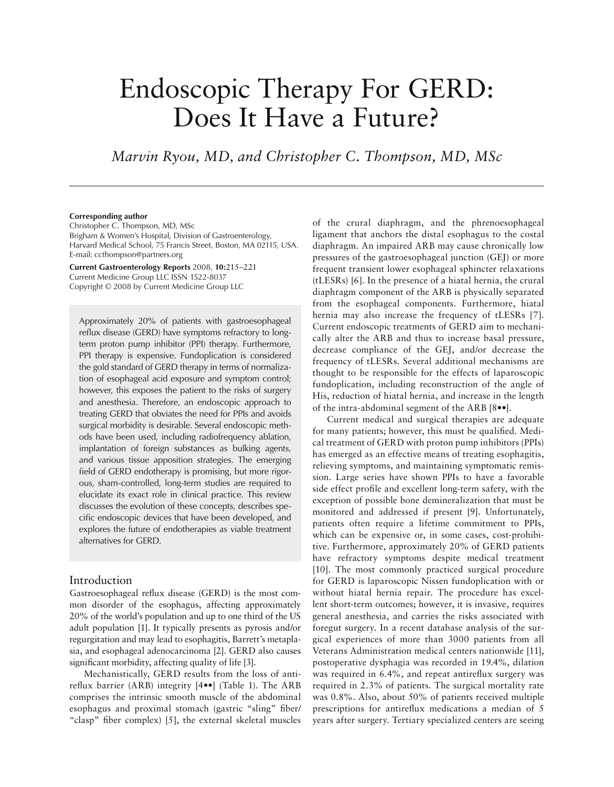# Endoscopic Therapy For GERD: Does It Have a Future?

*Marvin Ryou, MD, and Christopher C. Thompson, MD, MSc* 

#### **Corresponding author**

Christopher C. Thompson, MD, MSc Brigham & Women's Hospital, Division of Gastroenterology, Harvard Medical School, 75 Francis Street, Boston, MA 02115, USA. E-mail: ccthompson@partners.org

**Current Gastroenterology Reports 2008, 10:215-221** Current Medicine Group LLC ISSN 1522-8037 Copyright © 2008 by Current Medicine Group LLC

Approximately 20% of patients with gastroesophageal reflux disease (GERD) have symptoms refractory to longterm proton pump inhibitor (PPI) therapy. Furthermore, PPI therapy is expensive. Fundoplication is considered the gold standard of GERD therapy in terms of normalization of esophageal acid exposure and symptom control; however, this exposes the patient to the risks of surgery and anesthesia. Therefore, an endoscopic approach to treating GERD that obviates the need for PPIs and avoids surgical morbidity is desirable. Several endoscopic methods have been used, including radiofrequency ablation, implantation of foreign substances as bulking agents, and various tissue apposition strategies. The emerging field of GERD endotherapy is promising, but more rigorous, sham-controlled, long-term studies are required to elucidate its exact role in clinical practice. This review discusses the evolution of these concepts, describes specific endoscopic devices that have been developed, and explores the future of endotherapies as viable treatment alternatives for GERD.

# Introduction

Gastroesophageal reflux disease (GERD) is the most common disorder of the esophagus, affecting approximately 20% of the world's population and up to one third of the US adult population [1]. It typically presents as pyrosis and/or regurgitation and may lead to esophagitis, Barrett's metaplasia, and esophageal adenocarcinoma [2]. GERD also causes significant morbidity, affecting quality of life [3].

Mechanistically, GERD results from the loss of antireflux barrier (ARB) integrity  $[4\bullet\bullet]$  (Table 1). The ARB comprises the intrinsic smooth muscle of the abdominal esophagus and proximal stomach (gastric "sling" fiber/ "clasp" fiber complex) [5], the external skeletal muscles of the crural diaphragm, and the phrenoesophageal ligament that anchors the distal esophagus to the costal diaphragm. An impaired ARB may cause chronically low pressures of the gastroesophageal junction (GEJ) or more frequent transient lower esophageal sphincter relaxations  $(tLESRs)$  [6]. In the presence of a hiatal hernia, the crural diaphragm component of the ARB is physically separated from the esophageal components. Furthermore, hiatal hernia may also increase the frequency of tLESRs [7]. Current endoscopic treatments of GERD aim to mechanically alter the ARB and thus to increase basal pressure, decrease compliance of the GEJ, and/or decrease the frequency of tLESRs. Several additional mechanisms are thought to be responsible for the effects of laparoscopic fundoplication, including reconstruction of the angle of His, reduction of hiatal hernia, and increase in the length of the intra-abdominal segment of the ARB  $[8\bullet\bullet]$ .

Current medical and surgical therapies are adequate for many patients; however, this must be qualified. Medical treatment of GERD with proton pump inhibitors (PPIs) has emerged as an effective means of treating esophagitis, relieving symptoms, and maintaining symptomatic remission. Large series have shown PPIs to have a favorable side effect profile and excellent long-term safety, with the exception of possible bone demineralization that must be monitored and addressed if present [9]. Unfortunately, patients often require a lifetime commitment to PPIs, which can be expensive or, in some cases, cost-prohibitive. Furthermore, approximately 20% of GERD patients have refractory symptoms despite medical treatment [10]. The most commonly practiced surgical procedure for GERD is laparoscopic Nissen fundoplication with or without hiatal hernia repair. The procedure has excellent short-term outcomes; however, it is invasive, requires general anesthesia, and carries the risks associated with foregut surgery. In a recent database analysis of the surgical experiences of more than 3000 patients from all Veterans Administration medical centers nationwide [11], postoperative dysphagia was recorded in 19.4%, dilation was required in  $6.4\%$ , and repeat antireflux surgery was required in 2.3% of patients. The surgical mortality rate was 0.8%. Also, about 50% of patients received multiple prescriptions for antireflux medications a median of 5 years after surgery. Tertiary specialized centers are seeing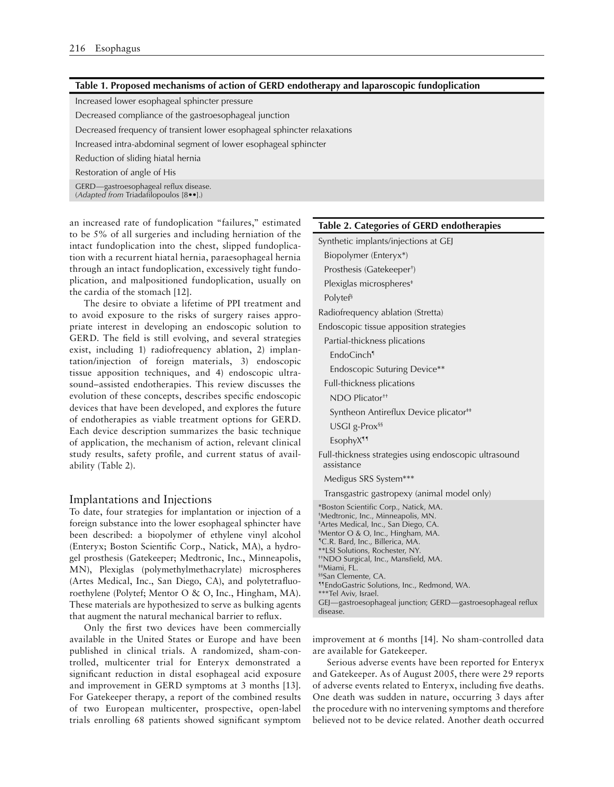| Increased lower esophageal sphincter pressure                           |
|-------------------------------------------------------------------------|
| Decreased compliance of the gastroesophageal junction                   |
| Decreased frequency of transient lower esophageal sphincter relaxations |
| Increased intra-abdominal segment of lower esophageal sphincter         |
| Reduction of sliding hiatal hernia                                      |
| Restoration of angle of His                                             |
| GERD-gastroesophageal reflux disease.                                   |

**Table 1. Proposed mechanisms of action of GERD endotherapy and laparoscopic fundoplication** 

(*Adapted from Triadafilopoulos* [8••].)

an increased rate of fundoplication "failures," estimated to be 5% of all surgeries and including herniation of the intact fundoplication into the chest, slipped fundoplication with a recurrent hiatal hernia, paraesophageal hernia through an intact fundoplication, excessively tight fundoplication, and malpositioned fundoplication, usually on the cardia of the stomach [12].

The desire to obviate a lifetime of PPI treatment and to avoid exposure to the risks of surgery raises appropriate interest in developing an endoscopic solution to GERD. The field is still evolving, and several strategies exist, including 1) radiofrequency ablation, 2) implantation/injection of foreign materials, 3) endoscopic tissue apposition techniques, and 4) endoscopic ultrasound–assisted endotherapies. This review discusses the evolution of these concepts, describes specific endoscopic devices that have been developed, and explores the future of endotherapies as viable treatment options for GERD. Each device description summarizes the basic technique of application, the mechanism of action, relevant clinical study results, safety profile, and current status of availability (Table 2).

#### Implantations and Injections

To date, four strategies for implantation or injection of a foreign substance into the lower esophageal sphincter have been described: a biopolymer of ethylene vinyl alcohol (Enteryx; Boston Scientific Corp., Natick, MA), a hydrogel prosthesis (Gatekeeper; Medtronic, Inc., Minneapolis, MN), Plexiglas (polymethylmethacrylate) microspheres (Artes Medical, Inc., San Diego, CA), and polytetrafluoroethylene (Polytef; Mentor O & O, Inc., Hingham, MA). These materials are hypothesized to serve as bulking agents that augment the natural mechanical barrier to reflux.

Only the first two devices have been commercially available in the United States or Europe and have been published in clinical trials. A randomized, sham-controlled, multicenter trial for Enteryx demonstrated a significant reduction in distal esophageal acid exposure and improvement in GERD symptoms at 3 months [13]. For Gatekeeper therapy, a report of the combined results of two European multicenter, prospective, open-label trials enrolling 68 patients showed significant symptom

# **Table 2. Categories of GERD endotherapies**  Synthetic implants/injections at GEJ

Biopolymer (Enteryx\*) Prosthesis (Gatekeeper<sup>+</sup>) Plexiglas microspheres<sup>#</sup> Polytef<sup>§</sup> Radiofrequency ablation (Stretta) Endoscopic tissue apposition strategies Partial-thickness plications EndoCinch<sup>1</sup> Endoscopic Suturing Device\*\* Full-thickness plications NDO Plicator<sup>++</sup> Syntheon Antireflux Device plicator<sup>##</sup> USGI g-Prox $s$ §§ EsophyX<sup>11</sup> Full-thickness strategies using endoscopic ultrasound assistance Medigus SRS System\*\*\* Transgastric gastropexy (animal model only) \*Boston Scientific Corp., Natick, MA. † Medtronic, Inc., Minneapolis, MN. ‡ Artes Medical, Inc., San Diego, CA. § Mentor O & O, Inc., Hingham, MA. ¶ C.R. Bard, Inc., Billerica, MA. \*\*LSI Solutions, Rochester, NY. <sup>+</sup>\* NDO Surgical, Inc., Mansfield, MA. ‡‡ Miami, FL. §§ San Clemente, CA. ¶¶ EndoGastric Solutions, Inc., Redmond, WA. \*\*\*Tel Aviv, Israel. GEJ-gastroesophageal junction; GERD-gastroesophageal reflux disease.

improvement at 6 months [14]. No sham-controlled data are available for Gatekeeper.

Serious adverse events have been reported for Enteryx and Gatekeeper. As of August 2005, there were 29 reports of adverse events related to Enteryx, including five deaths. One death was sudden in nature, occurring 3 days after the procedure with no intervening symptoms and therefore believed not to be device related. Another death occurred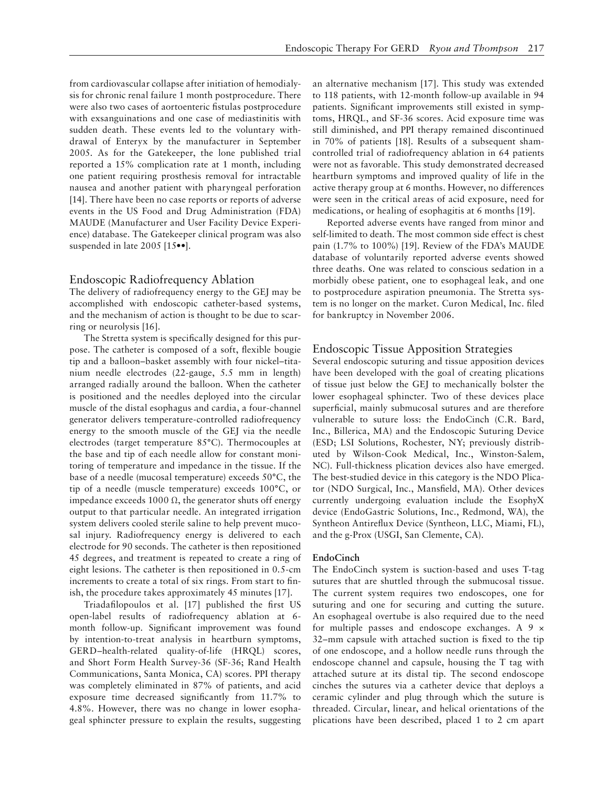from cardiovascular collapse after initiation of hemodialysis for chronic renal failure 1 month postprocedure. There were also two cases of aortoenteric fistulas postprocedure with exsanguinations and one case of mediastinitis with sudden death. These events led to the voluntary withdrawal of Enteryx by the manufacturer in September 2005. As for the Gatekeeper, the lone published trial reported a 15% complication rate at 1 month, including one patient requiring prosthesis removal for intractable nausea and another patient with pharyngeal perforation [14]. There have been no case reports or reports of adverse events in the US Food and Drug Administration (FDA) MAUDE (Manufacturer and User Facility Device Experience) database. The Gatekeeper clinical program was also suspended in late 2005 [15••].

## Endoscopic Radiofrequency Ablation

The delivery of radiofrequency energy to the GEJ may be accomplished with endoscopic catheter-based systems, and the mechanism of action is thought to be due to scarring or neurolysis [16].

The Stretta system is specifically designed for this purpose. The catheter is composed of a soft, flexible bougie tip and a balloon–basket assembly with four nickel–titanium needle electrodes (22-gauge, 5.5 mm in length) arranged radially around the balloon. When the catheter is positioned and the needles deployed into the circular muscle of the distal esophagus and cardia, a four-channel generator delivers temperature-controlled radiofrequency energy to the smooth muscle of the GEJ via the needle electrodes (target temperature 85°C). Thermocouples at the base and tip of each needle allow for constant monitoring of temperature and impedance in the tissue. If the base of a needle (mucosal temperature) exceeds 50°C, the tip of a needle (muscle temperature) exceeds 100°C, or impedance exceeds 1000  $Ω$ , the generator shuts off energy output to that particular needle. An integrated irrigation system delivers cooled sterile saline to help prevent mucosal injury. Radiofrequency energy is delivered to each electrode for 90 seconds. The catheter is then repositioned 45 degrees, and treatment is repeated to create a ring of eight lesions. The catheter is then repositioned in 0.5-cm increments to create a total of six rings. From start to finish, the procedure takes approximately 45 minutes [17].

Triadafilopoulos et al. [17] published the first US open-label results of radiofrequency ablation at 6 month follow-up. Significant improvement was found by intention-to-treat analysis in heartburn symptoms, GERD–health-related quality-of-life (HRQL) scores, and Short Form Health Survey-36 (SF-36; Rand Health Communications, Santa Monica, CA) scores. PPI therapy was completely eliminated in 87% of patients, and acid exposure time decreased significantly from 11.7% to 4.8%. However, there was no change in lower esophageal sphincter pressure to explain the results, suggesting

an alternative mechanism [17]. This study was extended to 118 patients, with 12-month follow-up available in 94 patients. Significant improvements still existed in symptoms, HRQL, and SF-36 scores. Acid exposure time was still diminished, and PPI therapy remained discontinued in 70% of patients [18]. Results of a subsequent shamcontrolled trial of radiofrequency ablation in 64 patients were not as favorable. This study demonstrated decreased heartburn symptoms and improved quality of life in the active therapy group at 6 months. However, no differences were seen in the critical areas of acid exposure, need for medications, or healing of esophagitis at 6 months [19].

Reported adverse events have ranged from minor and self-limited to death. The most common side effect is chest pain  $(1.7\%$  to  $100\%)$  [19]. Review of the FDA's MAUDE database of voluntarily reported adverse events showed three deaths. One was related to conscious sedation in a morbidly obese patient, one to esophageal leak, and one to postprocedure aspiration pneumonia. The Stretta system is no longer on the market. Curon Medical, Inc. filed for bankruptcy in November 2006.

# Endoscopic Tissue Apposition Strategies

Several endoscopic suturing and tissue apposition devices have been developed with the goal of creating plications of tissue just below the GEJ to mechanically bolster the lower esophageal sphincter. Two of these devices place superficial, mainly submucosal sutures and are therefore vulnerable to suture loss: the EndoCinch (C.R. Bard, Inc., Billerica, MA) and the Endoscopic Suturing Device (ESD; LSI Solutions, Rochester, NY; previously distributed by Wilson-Cook Medical, Inc., Winston-Salem, NC). Full-thickness plication devices also have emerged. The best-studied device in this category is the NDO Plicator (NDO Surgical, Inc., Mansfield, MA). Other devices currently undergoing evaluation include the EsophyX device (EndoGastric Solutions, Inc., Redmond, WA), the Syntheon Antireflux Device (Syntheon, LLC, Miami, FL), and the g-Prox (USGI, San Clemente, CA).

#### **EndoCinch**

The EndoCinch system is suction-based and uses T-tag sutures that are shuttled through the submucosal tissue. The current system requires two endoscopes, one for suturing and one for securing and cutting the suture. An esophageal overtube is also required due to the need for multiple passes and endoscope exchanges. A 9 × 32–mm capsule with attached suction is fixed to the tip of one endoscope, and a hollow needle runs through the endoscope channel and capsule, housing the T tag with attached suture at its distal tip. The second endoscope cinches the sutures via a catheter device that deploys a ceramic cylinder and plug through which the suture is threaded. Circular, linear, and helical orientations of the plications have been described, placed 1 to 2 cm apart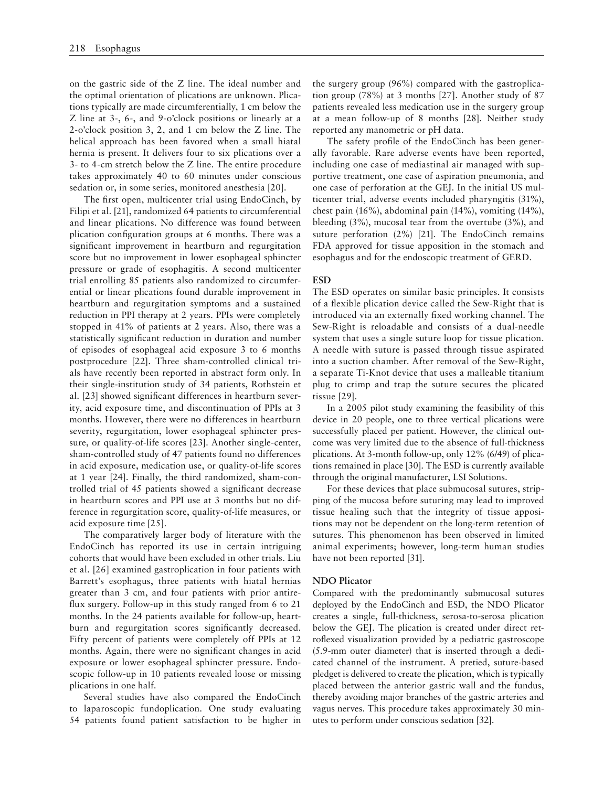on the gastric side of the Z line. The ideal number and the optimal orientation of plications are unknown. Plications typically are made circumferentially, 1 cm below the Z line at 3-, 6-, and 9-o'clock positions or linearly at a 2-o'clock position 3, 2, and 1 cm below the Z line. The helical approach has been favored when a small hiatal hernia is present. It delivers four to six plications over a 3- to 4-cm stretch below the Z line. The entire procedure takes approximately 40 to 60 minutes under conscious sedation or, in some series, monitored anesthesia [20].

The first open, multicenter trial using EndoCinch, by Filipi et al. [21], randomized 64 patients to circumferential and linear plications. No difference was found between plication configuration groups at 6 months. There was a significant improvement in heartburn and regurgitation score but no improvement in lower esophageal sphincter pressure or grade of esophagitis. A second multicenter trial enrolling 85 patients also randomized to circumferential or linear plications found durable improvement in heartburn and regurgitation symptoms and a sustained reduction in PPI therapy at 2 years. PPIs were completely stopped in 41% of patients at 2 years. Also, there was a statistically significant reduction in duration and number of episodes of esophageal acid exposure 3 to 6 months postprocedure [22]. Three sham-controlled clinical trials have recently been reported in abstract form only. In their single-institution study of 34 patients, Rothstein et al. [23] showed significant differences in heartburn severity, acid exposure time, and discontinuation of PPIs at 3 months. However, there were no differences in heartburn severity, regurgitation, lower esophageal sphincter pressure, or quality-of-life scores [23]. Another single-center, sham-controlled study of 47 patients found no differences in acid exposure, medication use, or quality-of-life scores at 1 year [24]. Finally, the third randomized, sham-controlled trial of 45 patients showed a significant decrease in heartburn scores and PPI use at 3 months but no difference in regurgitation score, quality-of-life measures, or acid exposure time [25].

The comparatively larger body of literature with the EndoCinch has reported its use in certain intriguing cohorts that would have been excluded in other trials. Liu et al. [26] examined gastroplication in four patients with Barrett's esophagus, three patients with hiatal hernias greater than 3 cm, and four patients with prior antireflux surgery. Follow-up in this study ranged from 6 to 21 months. In the 24 patients available for follow-up, heartburn and regurgitation scores significantly decreased. Fifty percent of patients were completely off PPIs at 12 months. Again, there were no significant changes in acid exposure or lower esophageal sphincter pressure. Endoscopic follow-up in 10 patients revealed loose or missing plications in one half.

Several studies have also compared the EndoCinch to laparoscopic fundoplication. One study evaluating 54 patients found patient satisfaction to be higher in the surgery group (96%) compared with the gastroplication group (78%) at 3 months [27]. Another study of 87 patients revealed less medication use in the surgery group at a mean follow-up of 8 months [28]. Neither study reported any manometric or pH data.

The safety profile of the EndoCinch has been generally favorable. Rare adverse events have been reported, including one case of mediastinal air managed with supportive treatment, one case of aspiration pneumonia, and one case of perforation at the GEJ. In the initial US multicenter trial, adverse events included pharyngitis (31%), chest pain (16%), abdominal pain (14%), vomiting (14%), bleeding (3%), mucosal tear from the overtube (3%), and suture perforation  $(2\%)$  [21]. The EndoCinch remains FDA approved for tissue apposition in the stomach and esophagus and for the endoscopic treatment of GERD.

#### **ESD**

The ESD operates on similar basic principles. It consists of a flexible plication device called the Sew-Right that is introduced via an externally fixed working channel. The Sew-Right is reloadable and consists of a dual-needle system that uses a single suture loop for tissue plication. A needle with suture is passed through tissue aspirated into a suction chamber. After removal of the Sew-Right, a separate Ti-Knot device that uses a malleable titanium plug to crimp and trap the suture secures the plicated tissue  $[29]$ .

In a 2005 pilot study examining the feasibility of this device in 20 people, one to three vertical plications were successfully placed per patient. However, the clinical outcome was very limited due to the absence of full-thickness plications. At 3-month follow-up, only 12% (6/49) of plications remained in place [30]. The ESD is currently available through the original manufacturer, LSI Solutions.

For these devices that place submucosal sutures, stripping of the mucosa before suturing may lead to improved tissue healing such that the integrity of tissue appositions may not be dependent on the long-term retention of sutures. This phenomenon has been observed in limited animal experiments; however, long-term human studies have not been reported [31].

#### **NDO Plicator**

Compared with the predominantly submucosal sutures deployed by the EndoCinch and ESD, the NDO Plicator creates a single, full-thickness, serosa-to-serosa plication below the GEJ. The plication is created under direct retroflexed visualization provided by a pediatric gastroscope (5.9-mm outer diameter) that is inserted through a dedicated channel of the instrument. A pretied, suture-based pledget is delivered to create the plication, which is typically placed between the anterior gastric wall and the fundus, thereby avoiding major branches of the gastric arteries and vagus nerves. This procedure takes approximately 30 minutes to perform under conscious sedation [32].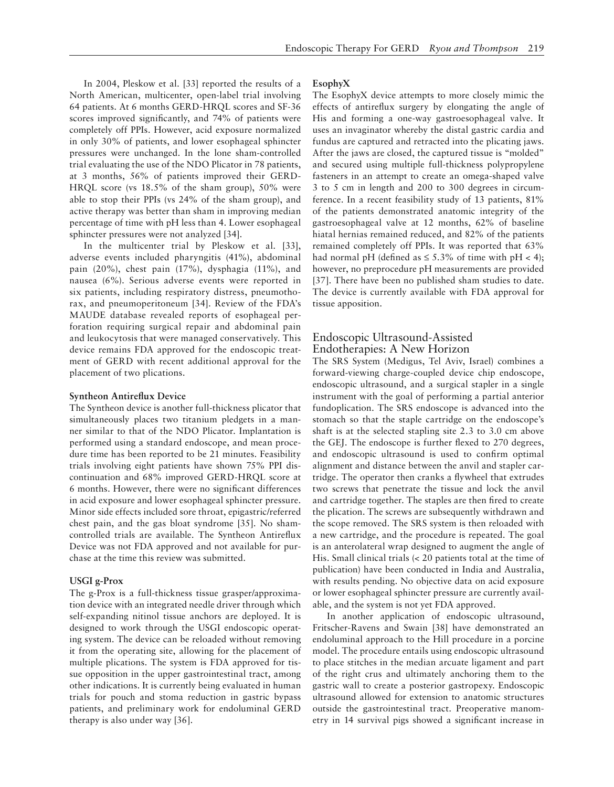In 2004, Pleskow et al. [33] reported the results of a North American, multicenter, open-label trial involving 64 patients. At 6 months GERD-HRQL scores and SF-36 scores improved significantly, and 74% of patients were completely off PPIs. However, acid exposure normalized in only 30% of patients, and lower esophageal sphincter pressures were unchanged. In the lone sham-controlled trial evaluating the use of the NDO Plicator in 78 patients, at 3 months, 56% of patients improved their GERD-HRQL score (vs 18.5% of the sham group), 50% were able to stop their PPIs (vs 24% of the sham group), and active therapy was better than sham in improving median percentage of time with pH less than 4. Lower esophageal sphincter pressures were not analyzed [34].

In the multicenter trial by Pleskow et al. [33], adverse events included pharyngitis (41%), abdominal pain (20%), chest pain (17%), dysphagia (11%), and nausea (6%). Serious adverse events were reported in six patients, including respiratory distress, pneumothorax, and pneumoperitoneum [34]. Review of the FDA's MAUDE database revealed reports of esophageal perforation requiring surgical repair and abdominal pain and leukocytosis that were managed conservatively. This device remains FDA approved for the endoscopic treatment of GERD with recent additional approval for the placement of two plications.

#### **Syntheon Antireflux Device**

The Syntheon device is another full-thickness plicator that simultaneously places two titanium pledgets in a manner similar to that of the NDO Plicator. Implantation is performed using a standard endoscope, and mean procedure time has been reported to be 21 minutes. Feasibility trials involving eight patients have shown 75% PPI discontinuation and 68% improved GERD-HRQL score at 6 months. However, there were no significant differences in acid exposure and lower esophageal sphincter pressure. Minor side effects included sore throat, epigastric/referred chest pain, and the gas bloat syndrome [35]. No shamcontrolled trials are available. The Syntheon Antireflux Device was not FDA approved and not available for purchase at the time this review was submitted.

#### **USGI g-Prox**

The g-Prox is a full-thickness tissue grasper/approximation device with an integrated needle driver through which self-expanding nitinol tissue anchors are deployed. It is designed to work through the USGI endoscopic operating system. The device can be reloaded without removing it from the operating site, allowing for the placement of multiple plications. The system is FDA approved for tissue opposition in the upper gastrointestinal tract, among other indications. It is currently being evaluated in human trials for pouch and stoma reduction in gastric bypass patients, and preliminary work for endoluminal GERD therapy is also under way [36].

#### **EsophyX**

The EsophyX device attempts to more closely mimic the effects of antireflux surgery by elongating the angle of His and forming a one-way gastroesophageal valve. It uses an invaginator whereby the distal gastric cardia and fundus are captured and retracted into the plicating jaws. After the jaws are closed, the captured tissue is "molded" and secured using multiple full-thickness polypropylene fasteners in an attempt to create an omega-shaped valve 3 to 5 cm in length and 200 to 300 degrees in circumference. In a recent feasibility study of 13 patients, 81% of the patients demonstrated anatomic integrity of the gastroesophageal valve at 12 months, 62% of baseline hiatal hernias remained reduced, and 82% of the patients remained completely off PPIs. It was reported that 63% had normal pH (defined as  $\leq$  5.3% of time with pH < 4); however, no preprocedure pH measurements are provided [37]. There have been no published sham studies to date. The device is currently available with FDA approval for tissue apposition.

# Endoscopic Ultrasound-Assisted Endotherapies: A New Horizon

The SRS System (Medigus, Tel Aviv, Israel) combines a forward-viewing charge-coupled device chip endoscope, endoscopic ultrasound, and a surgical stapler in a single instrument with the goal of performing a partial anterior fundoplication. The SRS endoscope is advanced into the stomach so that the staple cartridge on the endoscope's shaft is at the selected stapling site 2.3 to 3.0 cm above the GEJ. The endoscope is further flexed to 270 degrees, and endoscopic ultrasound is used to confirm optimal alignment and distance between the anvil and stapler cartridge. The operator then cranks a flywheel that extrudes two screws that penetrate the tissue and lock the anvil and cartridge together. The staples are then fired to create the plication. The screws are subsequently withdrawn and the scope removed. The SRS system is then reloaded with a new cartridge, and the procedure is repeated. The goal is an anterolateral wrap designed to augment the angle of His. Small clinical trials (< 20 patients total at the time of publication) have been conducted in India and Australia, with results pending. No objective data on acid exposure or lower esophageal sphincter pressure are currently available, and the system is not yet FDA approved.

In another application of endoscopic ultrasound, Fritscher-Ravens and Swain [38] have demonstrated an endoluminal approach to the Hill procedure in a porcine model. The procedure entails using endoscopic ultrasound to place stitches in the median arcuate ligament and part of the right crus and ultimately anchoring them to the gastric wall to create a posterior gastropexy. Endoscopic ultrasound allowed for extension to anatomic structures outside the gastrointestinal tract. Preoperative manometry in 14 survival pigs showed a significant increase in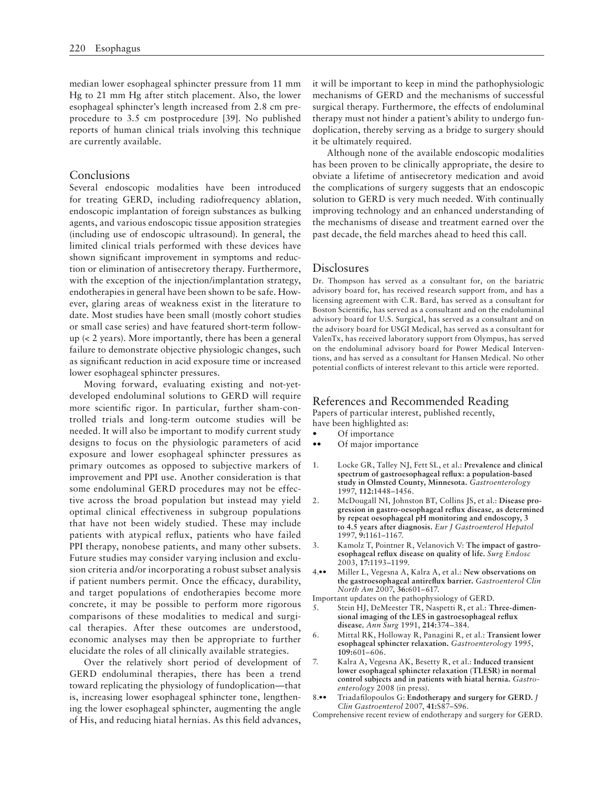median lower esophageal sphincter pressure from 11 mm Hg to 21 mm Hg after stitch placement. Also, the lower esophageal sphincter's length increased from 2.8 cm preprocedure to 3.5 cm postprocedure [39]. No published reports of human clinical trials involving this technique are currently available.

#### Conclusions

Several endoscopic modalities have been introduced for treating GERD, including radiofrequency ablation, endoscopic implantation of foreign substances as bulking agents, and various endoscopic tissue apposition strategies (including use of endoscopic ultrasound). In general, the limited clinical trials performed with these devices have shown significant improvement in symptoms and reduction or elimination of antisecretory therapy. Furthermore, with the exception of the injection/implantation strategy, endotherapies in general have been shown to be safe. However, glaring areas of weakness exist in the literature to date. Most studies have been small (mostly cohort studies or small case series) and have featured short-term followup (< 2 years). More importantly, there has been a general failure to demonstrate objective physiologic changes, such as significant reduction in acid exposure time or increased lower esophageal sphincter pressures.

Moving forward, evaluating existing and not-yetdeveloped endoluminal solutions to GERD will require more scientific rigor. In particular, further sham-controlled trials and long-term outcome studies will be needed. It will also be important to modify current study designs to focus on the physiologic parameters of acid exposure and lower esophageal sphincter pressures as primary outcomes as opposed to subjective markers of improvement and PPI use. Another consideration is that some endoluminal GERD procedures may not be effective across the broad population but instead may yield optimal clinical effectiveness in subgroup populations that have not been widely studied. These may include patients with atypical reflux, patients who have failed PPI therapy, nonobese patients, and many other subsets. Future studies may consider varying inclusion and exclusion criteria and/or incorporating a robust subset analysis if patient numbers permit. Once the efficacy, durability, and target populations of endotherapies become more concrete, it may be possible to perform more rigorous comparisons of these modalities to medical and surgical therapies. After these outcomes are understood, economic analyses may then be appropriate to further elucidate the roles of all clinically available strategies.

Over the relatively short period of development of GERD endoluminal therapies, there has been a trend toward replicating the physiology of fundoplication—that is, increasing lower esophageal sphincter tone, lengthening the lower esophageal sphincter, augmenting the angle of His, and reducing hiatal hernias. As this field advances,

it will be important to keep in mind the pathophysiologic mechanisms of GERD and the mechanisms of successful surgical therapy. Furthermore, the effects of endoluminal therapy must not hinder a patient's ability to undergo fundoplication, thereby serving as a bridge to surgery should it be ultimately required.

Although none of the available endoscopic modalities has been proven to be clinically appropriate, the desire to obviate a lifetime of antisecretory medication and avoid the complications of surgery suggests that an endoscopic solution to GERD is very much needed. With continually improving technology and an enhanced understanding of the mechanisms of disease and treatment earned over the past decade, the field marches ahead to heed this call.

# Disclosures

Dr. Thompson has served as a consultant for, on the bariatric advisory board for, has received research support from, and has a licensing agreement with C.R. Bard, has served as a consultant for Boston Scientific, has served as a consultant and on the endoluminal advisory board for U.S. Surgical, has served as a consultant and on the advisory board for USGI Medical, has served as a consultant for ValenTx, has received laboratory support from Olympus, has served on the endoluminal advisory board for Power Medical Interventions, and has served as a consultant for Hansen Medical. No other potential conflicts of interest relevant to this article were reported.

# References and Recommended Reading

Papers of particular interest, published recently, have been highlighted as:

- Of importance
- •• Of major importance
- 1. Locke GR, Talley NJ, Fett SL, et al. : **Prevalence and clinical**  spectrum of gastroesophageal reflux: a population-based **study in Olmsted County, Minnesota.** *Gastroenterology*  1997, **112:** 1448– 1456.
- 2. McDougall NI, Johnston BT, Collins JS, et al. : **Disease pro**gression in gastro-oesophageal reflux disease, as determined **by repeat oesophageal pH monitoring and endoscopy, 3 to 4.5 years after diagnosis.** *Eur J Gastroenterol Hepatol*  1997, **9:** 1161– 1167.
- 3. Kamolz T, Pointner R, Velanovich V: **The impact of gastro**esophageal reflux disease on quality of life. *Surg Endosc* 2003, **17:** 1193– 1199.
- 4.•• Miller L, Vegesna A, Kalra A, et al. : **New observations on the gastroesophageal antirefl ux barrier.** *Gastroenterol Clin North Am* 2007, **36:** 601– 617.

Important updates on the pathophysiology of GERD.

- 5. Stein HJ, DeMeester TR, Naspetti R, et al. : **Three-dimen**sional imaging of the LES in gastroesophageal reflux **disease.** *Ann Surg* 1991, **214:** 374– 384.
- 6. Mittal RK, Holloway R, Panagini R, et al. : **Transient lower esophageal sphincter relaxation.** *Gastroenterology* 1995, **109:** 601– 606.
- 7. Kalra A, Vegesna AK, Besetty R, et al. : **Induced transient lower esophageal sphincter relaxation (TLESR) in normal control subjects and in patients with hiatal hernia.** *Gastroenterology* 2008 (in press).
- 8. •• Triadafilopoulos G: Endotherapy and surgery for GERD. *J Clin Gastroenterol* 2007, **41:** S87– S96.
- Comprehensive recent review of endotherapy and surgery for GERD.